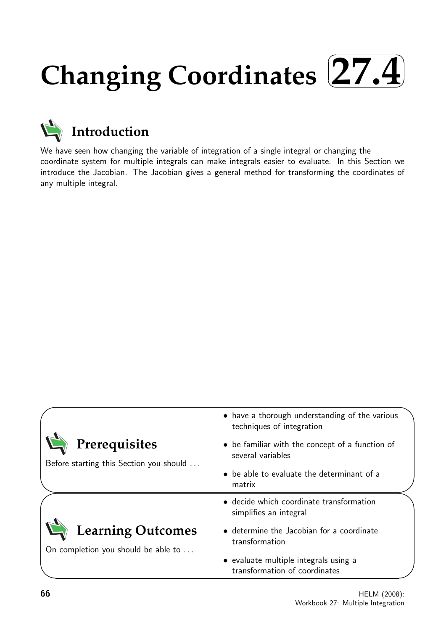### **Changing Coordinates**  $\sqrt{2}$ ✒ **27.4**✑ ✏



We have seen how changing the variable of integration of a single integral or changing the coordinate system for multiple integrals can make integrals easier to evaluate. In this Section we introduce the Jacobian. The Jacobian gives a general method for transforming the coordinates of any multiple integral.

|                                                                 | • have a thorough understanding of the various<br>techniques of integration |
|-----------------------------------------------------------------|-----------------------------------------------------------------------------|
| Prerequisites<br>Before starting this Section you should        | • be familiar with the concept of a function of<br>several variables        |
|                                                                 | • be able to evaluate the determinant of a<br>matrix                        |
|                                                                 | • decide which coordinate transformation<br>simplifies an integral          |
| <b>Learning Outcomes</b><br>On completion you should be able to | • determine the Jacobian for a coordinate<br>transformation                 |
|                                                                 | • evaluate multiple integrals using a<br>transformation of coordinates      |

 $\overline{\phantom{0}}$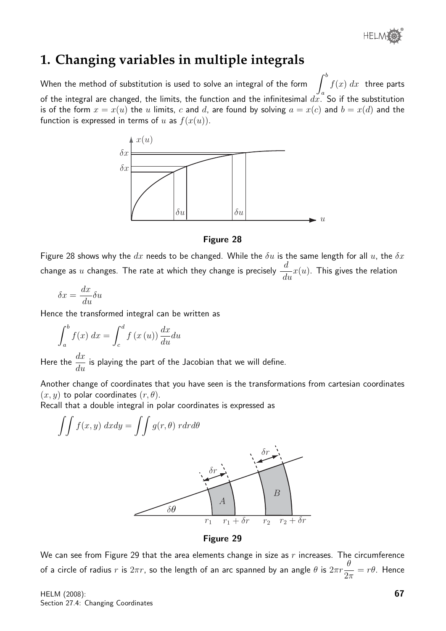® **HELM** 

## **1. Changing variables in multiple integrals**

When the method of substitution is used to solve an integral of the form a  $f(x) dx$  three parts of the integral are changed, the limits, the function and the infinitesimal  $d\tilde{x}$ . So if the substitution is of the form  $x = x(u)$  the u limits, c and d, are found by solving  $a = x(c)$  and  $b = x(d)$  and the function is expressed in terms of u as  $f(x(u))$ .



#### Figure 28

Figure 28 shows why the  $dx$  needs to be changed. While the  $\delta u$  is the same length for all  $u$ , the  $\delta x$ change as  $u$  changes. The rate at which they change is precisely  $\frac{d}{d}$  $\frac{d}{du}x(u)$ . This gives the relation

$$
\delta x = \frac{dx}{du} \delta u
$$

Hence the transformed integral can be written as

$$
\int_{a}^{b} f(x) dx = \int_{c}^{d} f(x(u)) \frac{dx}{du} du
$$

Here the  $\frac{dx}{dt}$  $\frac{dx}{du}$  is playing the part of the Jacobian that we will define.

Another change of coordinates that you have seen is the transformations from cartesian coordinates  $(x, y)$  to polar coordinates  $(r, \theta)$ .

Recall that a double integral in polar coordinates is expressed as



Figure 29

We can see from Figure 29 that the area elements change in size as  $r$  increases. The circumference of a circle of radius  $r$  is  $2\pi r$ , so the length of an arc spanned by an angle  $\theta$  is  $2\pi r$ θ  $2\pi$  $= r \theta$ . Hence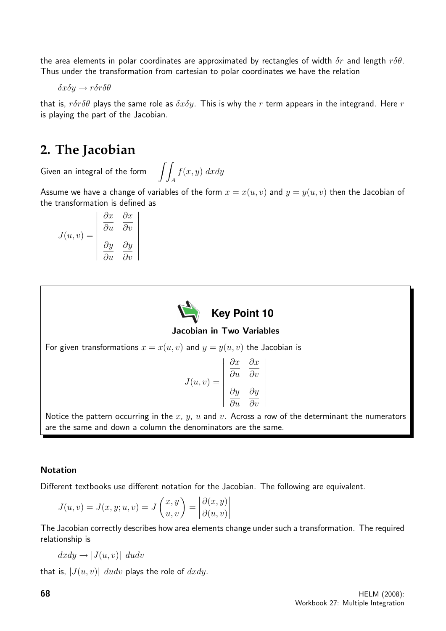the area elements in polar coordinates are approximated by rectangles of width  $\delta r$  and length  $r\delta\theta$ . Thus under the transformation from cartesian to polar coordinates we have the relation

δxδy → rδrδθ

that is,  $r\delta r\delta \theta$  plays the same role as  $\delta x\delta y$ . This is why the r term appears in the integrand. Here r is playing the part of the Jacobian.

## **2. The Jacobian**

Given an integral of the form A  $f(x, y) dx dy$ 

Assume we have a change of variables of the form  $x = x(u, v)$  and  $y = y(u, v)$  then the Jacobian of the transformation is defined as

$$
J(u, v) = \begin{vmatrix} \frac{\partial x}{\partial u} & \frac{\partial x}{\partial v} \\ \frac{\partial y}{\partial u} & \frac{\partial y}{\partial v} \end{vmatrix}
$$



#### Jacobian in Two Variables

For given transformations  $x = x(u, v)$  and  $y = y(u, v)$  the Jacobian is

$$
J(u, v) = \begin{vmatrix} \frac{\partial x}{\partial u} & \frac{\partial x}{\partial v} \\ \frac{\partial y}{\partial u} & \frac{\partial y}{\partial v} \end{vmatrix}
$$

 $\bigg\}$  $\bigg\}$  $\bigg\}$  $\bigg\}$  $\bigg\}$  $\bigg\}$  $\Big\}$  $\bigg\}$  $\begin{array}{c} \hline \end{array}$ 

Notice the pattern occurring in the  $x$ ,  $y$ ,  $u$  and  $v$ . Across a row of the determinant the numerators are the same and down a column the denominators are the same.

#### Notation

Different textbooks use different notation for the Jacobian. The following are equivalent.

$$
J(u, v) = J(x, y; u, v) = J\left(\frac{x, y}{u, v}\right) = \left|\frac{\partial(x, y)}{\partial(u, v)}\right|
$$

The Jacobian correctly describes how area elements change under such a transformation. The required relationship is

 $dx\,dy \rightarrow |J(u, v)| \,dudv$ 

that is,  $|J(u, v)|$  dudv plays the role of dxdy.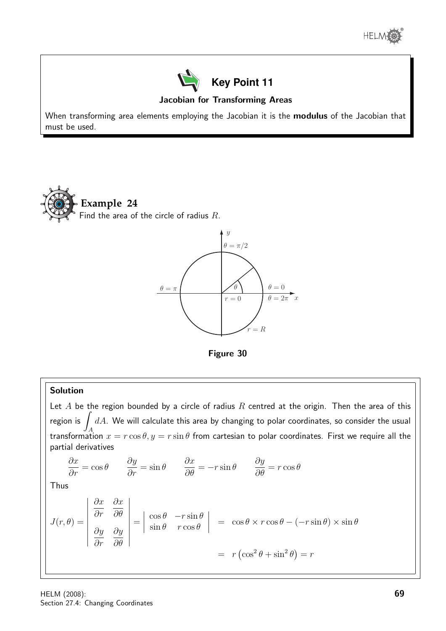



#### Jacobian for Transforming Areas

When transforming area elements employing the Jacobian it is the **modulus** of the Jacobian that must be used.







#### Solution

Let  $A$  be the region bounded by a circle of radius  $R$  centred at the origin. Then the area of this region is transformation  $x = r \cos \theta, y = r \sin \theta$  from cartesian to polar coordinates. First we require all the  $dA$ . We will calculate this area by changing to polar coordinates, so consider the usual partial derivatives

$$
\frac{\partial x}{\partial r} = \cos \theta \qquad \frac{\partial y}{\partial r} = \sin \theta \qquad \frac{\partial x}{\partial \theta} = -r \sin \theta \qquad \frac{\partial y}{\partial \theta} = r \cos \theta
$$
\nThus\n
$$
J(r, \theta) = \begin{vmatrix} \frac{\partial x}{\partial r} & \frac{\partial x}{\partial \theta} \\ \frac{\partial y}{\partial r} & \frac{\partial y}{\partial \theta} \end{vmatrix} = \begin{vmatrix} \cos \theta & -r \sin \theta \\ \sin \theta & r \cos \theta \end{vmatrix} = \cos \theta \times r \cos \theta - (-r \sin \theta) \times \sin \theta
$$
\n
$$
= r (\cos^2 \theta + \sin^2 \theta) = r
$$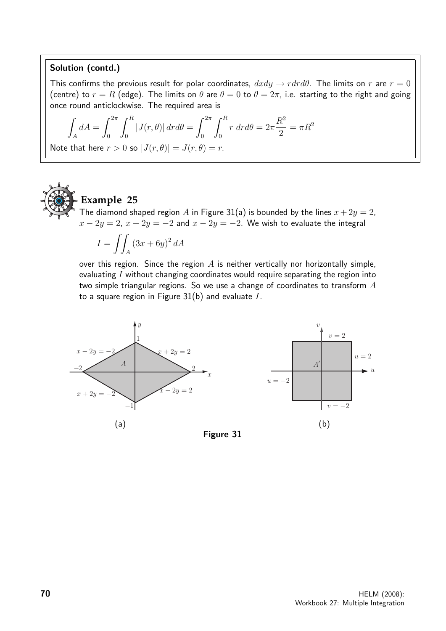#### Solution (contd.)

This confirms the previous result for polar coordinates,  $dxdy \rightarrow r dr d\theta$ . The limits on r are  $r = 0$ (centre) to  $r = R$  (edge). The limits on  $\theta$  are  $\theta = 0$  to  $\theta = 2\pi$ , i.e. starting to the right and going once round anticlockwise. The required area is

$$
\int_A dA = \int_0^{2\pi} \int_0^R |J(r,\theta)| dr d\theta = \int_0^{2\pi} \int_0^R r dr d\theta = 2\pi \frac{R^2}{2} = \pi R^2
$$
  
Note that here  $r > 0$  so  $|J(r,\theta)| = J(r,\theta) = r$ .



### **Example 25**

The diamond shaped region A in Figure 31(a) is bounded by the lines  $x + 2y = 2$ ,  $x - 2y = 2$ ,  $x + 2y = -2$  and  $x - 2y = -2$ . We wish to evaluate the integral

$$
I = \iint_A (3x + 6y)^2 dA
$$

over this region. Since the region  $A$  is neither vertically nor horizontally simple, evaluating I without changing coordinates would require separating the region into two simple triangular regions. So we use a change of coordinates to transform A to a square region in Figure  $31(b)$  and evaluate  $I$ .

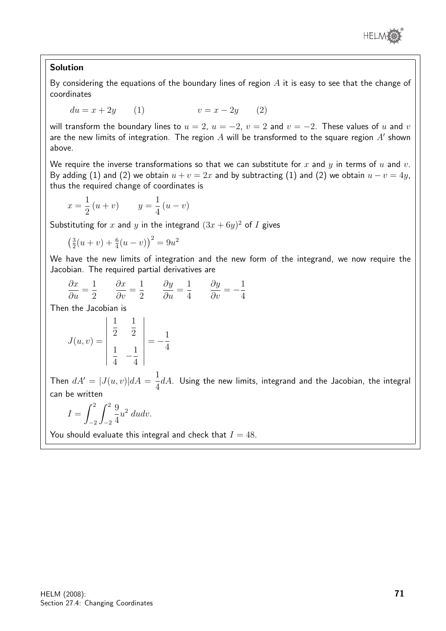

#### Solution

By considering the equations of the boundary lines of region  $A$  it is easy to see that the change of coordinates

 $du = x + 2y$  (1)  $v = x - 2y$  (2)

will transform the boundary lines to  $u = 2$ ,  $u = -2$ ,  $v = 2$  and  $v = -2$ . These values of u and v are the new limits of integration. The region  $A$  will be transformed to the square region  $A'$  shown above.

We require the inverse transformations so that we can substitute for x and y in terms of u and v. By adding (1) and (2) we obtain  $u + v = 2x$  and by subtracting (1) and (2) we obtain  $u - v = 4y$ , thus the required change of coordinates is

$$
x = \frac{1}{2}(u+v)
$$
  $y = \frac{1}{4}(u-v)$ 

Substituting for x and y in the integrand  $(3x + 6y)^2$  of I gives

$$
\left(\frac{3}{2}(u+v) + \frac{6}{4}(u-v)\right)^2 = 9u^2
$$

We have the new limits of integration and the new form of the integrand, we now require the Jacobian. The required partial derivatives are

$$
\frac{\partial x}{\partial u} = \frac{1}{2} \qquad \frac{\partial x}{\partial v} = \frac{1}{2} \qquad \frac{\partial y}{\partial u} = \frac{1}{4} \qquad \frac{\partial y}{\partial v} = -\frac{1}{4}
$$

Then the Jacobian is

$$
J(u, v) = \begin{vmatrix} \frac{1}{2} & \frac{1}{2} \\ \frac{1}{4} & -\frac{1}{4} \end{vmatrix} = -\frac{1}{4}
$$

Then  $dA' = |J(u, v)|dA = \frac{1}{4}$ 4  $dA$ . Using the new limits, integrand and the Jacobian, the integral can be written

$$
I = \int_{-2}^{2} \int_{-2}^{2} \frac{9}{4} u^2 \ du dv.
$$

You should evaluate this integral and check that  $I = 48$ .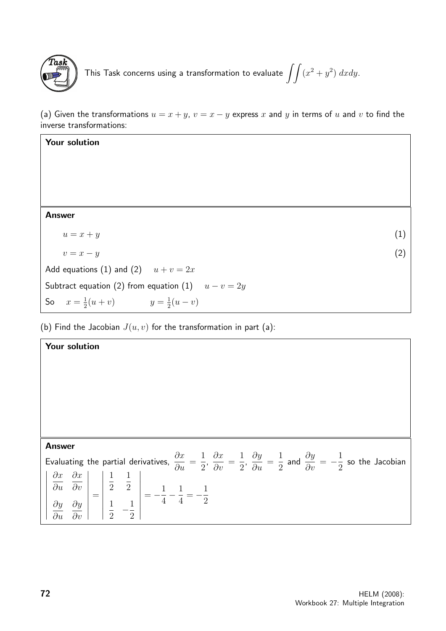

```
This Task concerns using a transformation to evaluate \ \int\int (x^2 + y^2) \ dxdy.
```
(a) Given the transformations  $u = x + y$ ,  $v = x - y$  express x and y in terms of u and v to find the inverse transformations:

| Your solution                                        |     |  |
|------------------------------------------------------|-----|--|
|                                                      |     |  |
|                                                      |     |  |
|                                                      |     |  |
|                                                      |     |  |
| <b>Answer</b>                                        |     |  |
| $u = x + y$                                          | (1) |  |
| $v = x - y$                                          | (2) |  |
| Add equations (1) and (2) $u + v = 2x$               |     |  |
| Subtract equation (2) from equation (1) $u - v = 2y$ |     |  |
| So $x = \frac{1}{2}(u+v)$ $y = \frac{1}{2}(u-v)$     |     |  |

(b) Find the Jacobian  $J(u, v)$  for the transformation in part (a):

| Your solution                                                                                                                                                                                                                                                                                      |                                                                                                                                                                                                                                              |
|----------------------------------------------------------------------------------------------------------------------------------------------------------------------------------------------------------------------------------------------------------------------------------------------------|----------------------------------------------------------------------------------------------------------------------------------------------------------------------------------------------------------------------------------------------|
|                                                                                                                                                                                                                                                                                                    |                                                                                                                                                                                                                                              |
|                                                                                                                                                                                                                                                                                                    |                                                                                                                                                                                                                                              |
|                                                                                                                                                                                                                                                                                                    |                                                                                                                                                                                                                                              |
|                                                                                                                                                                                                                                                                                                    |                                                                                                                                                                                                                                              |
|                                                                                                                                                                                                                                                                                                    |                                                                                                                                                                                                                                              |
| <b>Answer</b>                                                                                                                                                                                                                                                                                      |                                                                                                                                                                                                                                              |
|                                                                                                                                                                                                                                                                                                    |                                                                                                                                                                                                                                              |
|                                                                                                                                                                                                                                                                                                    |                                                                                                                                                                                                                                              |
|                                                                                                                                                                                                                                                                                                    |                                                                                                                                                                                                                                              |
|                                                                                                                                                                                                                                                                                                    |                                                                                                                                                                                                                                              |
| $\begin{vmatrix} \frac{\partial x}{\partial u} & \frac{\partial x}{\partial v} \\ \frac{\partial y}{\partial u} & \frac{\partial y}{\partial v} \end{vmatrix} = \begin{vmatrix} \frac{1}{2} & \frac{1}{2} \\ \frac{1}{2} & -\frac{1}{2} \end{vmatrix} = -\frac{1}{4} - \frac{1}{4} = -\frac{1}{2}$ | Evaluating the partial derivatives, $\frac{\partial x}{\partial u}=\frac{1}{2}$ , $\frac{\partial x}{\partial v}=\frac{1}{2}$ , $\frac{\partial y}{\partial u}=\frac{1}{2}$ and $\frac{\partial y}{\partial v}=-\frac{1}{2}$ so the Jacobian |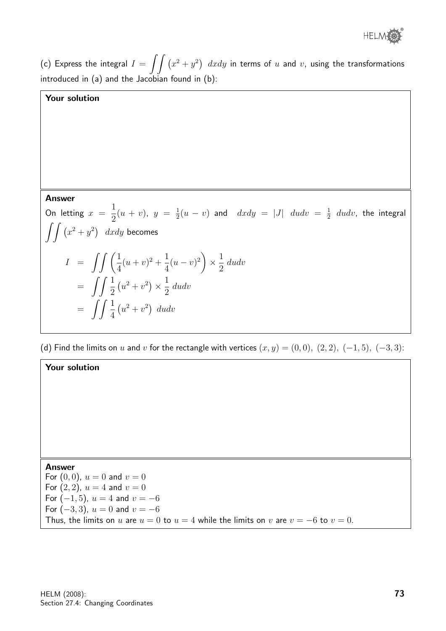

(c) Express the integral  $I = \int\!\int \left(x^2 + y^2\right) \;dxdy$  in terms of  $u$  and  $v$ , using the transformations introduced in (a) and the Jacobian found in (b):

#### Your solution

#### Answer

On letting  $x =$ 1 2  $(u + v), y = \frac{1}{2}$  $\frac{1}{2}(u-v)$  and  $dxdy = |J|$   $dudv = \frac{1}{2}$  $\frac{1}{2}$  dudv, the integral  $\int \int (x^2 + y^2) dx dy$  becomes  $I = \int \int \left( \frac{1}{4} \right)$ 4  $(u + v)^2 + \frac{1}{4}$ 4  $(u-v)^2$  $\times \frac{1}{2}$ 2 dudv  $=\int\int\frac{1}{2}$ 2  $(u^2 + v^2) \times \frac{1}{2}$ 2 dudv  $=\int\int\frac{1}{4}$ 4  $(u^2 + v^2)$  dudv

(d) Find the limits on u and v for the rectangle with vertices  $(x, y) = (0, 0), (2, 2), (-1, 5), (-3, 3)$ :

#### Your solution

Answer For  $(0, 0)$ ,  $u = 0$  and  $v = 0$ For  $(2, 2)$ ,  $u = 4$  and  $v = 0$ For  $(-1, 5)$ ,  $u = 4$  and  $v = -6$ For  $(-3, 3)$ ,  $u = 0$  and  $v = -6$ Thus, the limits on u are  $u = 0$  to  $u = 4$  while the limits on v are  $v = -6$  to  $v = 0$ .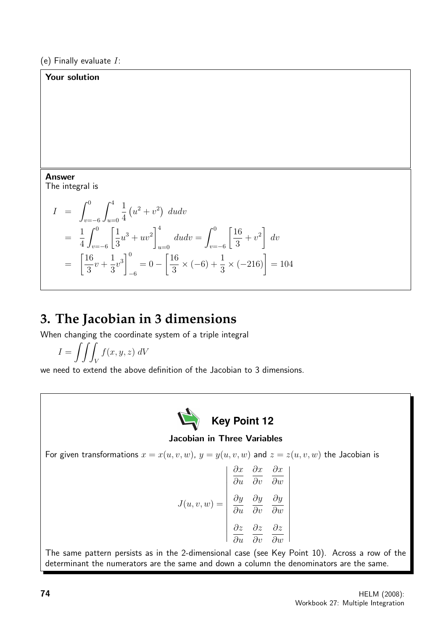Your solution

## Answer The integral is

$$
I = \int_{v=-6}^{0} \int_{u=0}^{4} \frac{1}{4} (u^2 + v^2) du dv
$$
  
=  $\frac{1}{4} \int_{v=-6}^{0} \left[ \frac{1}{3} u^3 + u v^2 \right]_{u=0}^{4} du dv = \int_{v=-6}^{0} \left[ \frac{16}{3} + v^2 \right] dv$   
=  $\left[ \frac{16}{3} v + \frac{1}{3} v^3 \right]_{-6}^{0} = 0 - \left[ \frac{16}{3} \times (-6) + \frac{1}{3} \times (-216) \right] = 104$ 

# **3. The Jacobian in 3 dimensions**

When changing the coordinate system of a triple integral

$$
I = \iiint_V f(x, y, z) \, dV
$$

we need to extend the above definition of the Jacobian to 3 dimensions.



### Jacobian in Three Variables

For given transformations  $x = x(u, v, w)$ ,  $y = y(u, v, w)$  and  $z = z(u, v, w)$  the Jacobian is

$$
J(u, v, w) = \begin{vmatrix} \frac{\partial x}{\partial u} & \frac{\partial x}{\partial v} & \frac{\partial x}{\partial w} \\ \frac{\partial y}{\partial u} & \frac{\partial y}{\partial v} & \frac{\partial y}{\partial w} \\ \frac{\partial z}{\partial u} & \frac{\partial z}{\partial v} & \frac{\partial z}{\partial w} \end{vmatrix}
$$

The same pattern persists as in the 2-dimensional case (see Key Point 10). Across a row of the determinant the numerators are the same and down a column the denominators are the same.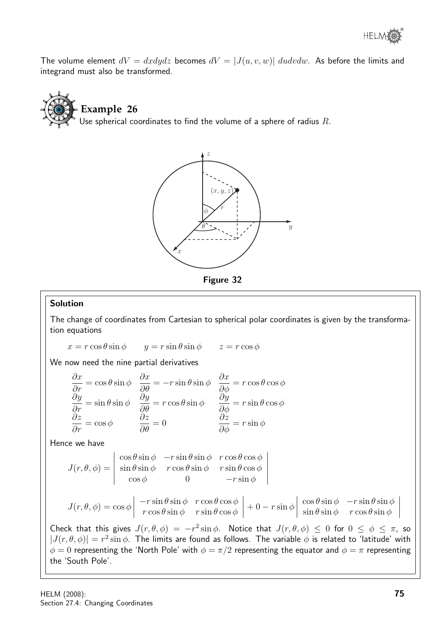The volume element  $dV = dxdydz$  becomes  $dV = |J(u, v, w)|$  dudvdw. As before the limits and integrand must also be transformed.







#### Solution

The change of coordinates from Cartesian to spherical polar coordinates is given by the transformation equations

 $x = r \cos \theta \sin \phi$   $y = r \sin \theta \sin \phi$   $z = r \cos \phi$ 

We now need the nine partial derivatives

$$
\frac{\partial x}{\partial r} = \cos \theta \sin \phi \quad \frac{\partial x}{\partial \theta} = -r \sin \theta \sin \phi \quad \frac{\partial x}{\partial \phi} = r \cos \theta \cos \phi
$$
  

$$
\frac{\partial y}{\partial r} = \sin \theta \sin \phi \quad \frac{\partial y}{\partial \theta} = r \cos \theta \sin \phi \quad \frac{\partial y}{\partial \phi} = r \sin \theta \cos \phi
$$
  

$$
\frac{\partial z}{\partial r} = \cos \phi \quad \frac{\partial z}{\partial \theta} = 0 \quad \frac{\partial z}{\partial \phi} = r \sin \phi
$$

Hence we have

$$
J(r, \theta, \phi) = \begin{vmatrix} \cos \theta \sin \phi & -r \sin \theta \sin \phi & r \cos \theta \cos \phi \\ \sin \theta \sin \phi & r \cos \theta \sin \phi & r \sin \theta \cos \phi \\ \cos \phi & 0 & -r \sin \phi \end{vmatrix}
$$

$$
J(r, \theta, \phi) = \cos \phi \begin{vmatrix} -r \sin \theta \sin \phi & r \cos \theta \cos \phi \\ r \cos \theta \sin \phi & r \sin \theta \cos \phi \end{vmatrix} + 0 - r \sin \phi \begin{vmatrix} \cos \theta \sin \phi & -r \sin \theta \sin \phi \\ \sin \theta \sin \phi & r \cos \theta \sin \phi \end{vmatrix}
$$

Check that this gives  $J(r, \theta, \phi) = -r^2 \sin \phi$ . Notice that  $J(r, \theta, \phi) \leq 0$  for  $0 \leq \phi \leq \pi$ , so  $|J(r, \theta, \phi)| = r^2 \sin \phi$ . The limits are found as follows. The variable  $\phi$  is related to 'latitude' with  $\phi = 0$  representing the 'North Pole' with  $\phi = \pi/2$  representing the equator and  $\phi = \pi$  representing the 'South Pole'.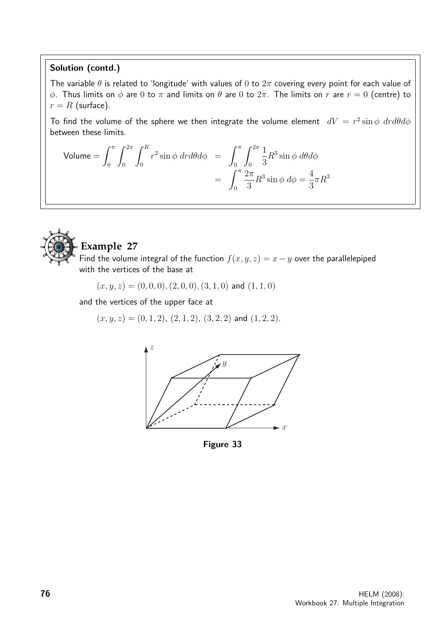#### Solution (contd.)

The variable  $\theta$  is related to 'longitude' with values of 0 to  $2\pi$  covering every point for each value of φ. Thus limits on φ are 0 to π and limits on  $\theta$  are 0 to  $2\pi$ . The limits on r are  $r = 0$  (centre) to  $r = R$  (surface).

To find the volume of the sphere we then integrate the volume element  $dV = r^2 \sin \phi \, dr d\theta d\phi$ between these limits.

Volume = 
$$
\int_0^{\pi} \int_0^{2\pi} \int_0^R r^2 \sin \phi \, dr d\theta d\phi = \int_0^{\pi} \int_0^{2\pi} \frac{1}{3} R^3 \sin \phi \, d\theta d\phi
$$
  
= 
$$
\int_0^{\pi} \frac{2\pi}{3} R^3 \sin \phi \, d\phi = \frac{4}{3} \pi R^3
$$



## **Example 27**

Find the volume integral of the function  $f(x, y, z) = x - y$  over the parallelepiped with the vertices of the base at

 $(x, y, z) = (0, 0, 0), (2, 0, 0), (3, 1, 0)$  and  $(1, 1, 0)$ 

and the vertices of the upper face at

 $(x, y, z) = (0, 1, 2), (2, 1, 2), (3, 2, 2)$  and  $(1, 2, 2)$ .



Figure 33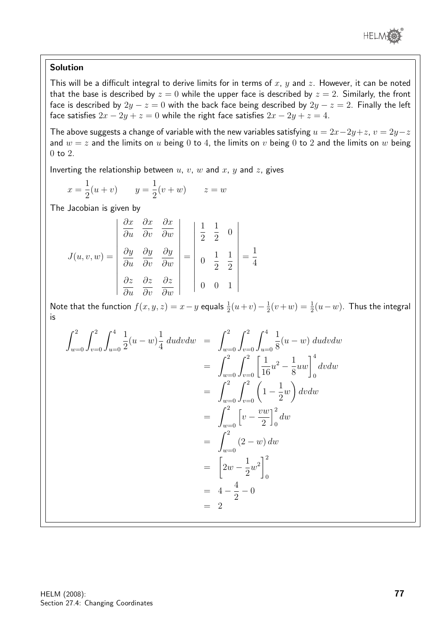

#### Solution

This will be a difficult integral to derive limits for in terms of  $x, y$  and  $z$ . However, it can be noted that the base is described by  $z = 0$  while the upper face is described by  $z = 2$ . Similarly, the front face is described by  $2y - z = 0$  with the back face being described by  $2y - z = 2$ . Finally the left face satisfies  $2x - 2y + z = 0$  while the right face satisfies  $2x - 2y + z = 4$ .

The above suggests a change of variable with the new variables satisfying  $u = 2x-2y+z$ ,  $v = 2y-z$ and  $w = z$  and the limits on u being 0 to 4, the limits on v being 0 to 2 and the limits on w being  $0$  to  $2$ .

Inverting the relationship between  $u, v, w$  and  $x, y$  and  $z$ , gives

$$
x = \frac{1}{2}(u+v)
$$
  $y = \frac{1}{2}(v+w)$   $z = w$ 

The Jacobian is given by

$$
J(u, v, w) = \begin{vmatrix} \frac{\partial x}{\partial u} & \frac{\partial x}{\partial v} & \frac{\partial x}{\partial w} \\ \frac{\partial y}{\partial u} & \frac{\partial y}{\partial v} & \frac{\partial y}{\partial w} \\ \frac{\partial z}{\partial u} & \frac{\partial z}{\partial v} & \frac{\partial z}{\partial w} \end{vmatrix} = \begin{vmatrix} \frac{1}{2} & \frac{1}{2} & 0 \\ 0 & \frac{1}{2} & \frac{1}{2} \\ 0 & 0 & 1 \end{vmatrix} = \frac{1}{4}
$$

Note that the function  $f(x,y,z)=x-y$  equals  $\frac{1}{2}(u+v)-\frac{1}{2}$  $\frac{1}{2}(v+w) = \frac{1}{2}(u-w)$ . Thus the integral is

$$
\int_{w=0}^{2} \int_{v=0}^{2} \frac{1}{2}(u-w) \frac{1}{4} du dv dw = \int_{w=0}^{2} \int_{v=0}^{2} \int_{u=0}^{4} \frac{1}{8}(u-w) du dv dw
$$
  
\n
$$
= \int_{w=0}^{2} \int_{v=0}^{2} \left[ \frac{1}{16} u^{2} - \frac{1}{8} u w \right]_{0}^{4} dv dw
$$
  
\n
$$
= \int_{w=0}^{2} \int_{v=0}^{2} \left( 1 - \frac{1}{2} w \right) dv dw
$$
  
\n
$$
= \int_{w=0}^{2} \left[ v - \frac{vw}{2} \right]_{0}^{2} dw
$$
  
\n
$$
= \int_{w=0}^{2} (2 - w) dw
$$
  
\n
$$
= \left[ 2w - \frac{1}{2} w^{2} \right]_{0}^{2}
$$
  
\n
$$
= 4 - \frac{4}{2} - 0
$$
  
\n
$$
= 2
$$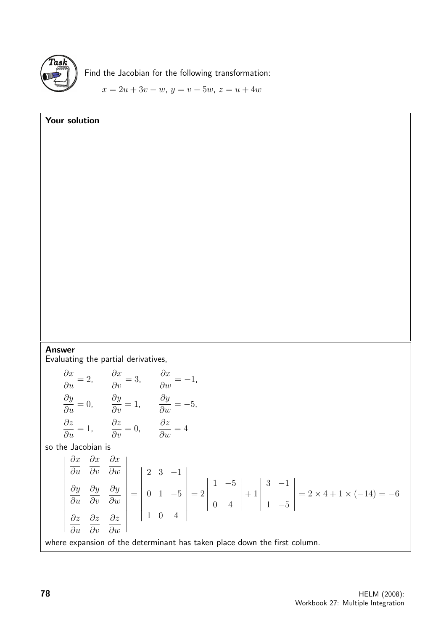

Your solution

Find the Jacobian for the following transformation:

 $x = 2u + 3v - w$ ,  $y = v - 5w$ ,  $z = u + 4w$ 

### Answer

Evaluating the partial derivatives,

$$
\frac{\partial x}{\partial u} = 2, \qquad \frac{\partial x}{\partial v} = 3, \qquad \frac{\partial x}{\partial w} = -1,
$$
\n
$$
\frac{\partial y}{\partial u} = 0, \qquad \frac{\partial y}{\partial v} = 1, \qquad \frac{\partial y}{\partial w} = -5,
$$
\n
$$
\frac{\partial z}{\partial u} = 1, \qquad \frac{\partial z}{\partial v} = 0, \qquad \frac{\partial z}{\partial w} = 4
$$
\nso the Jacobian is\n
$$
\begin{vmatrix}\n\frac{\partial x}{\partial u} & \frac{\partial x}{\partial v} & \frac{\partial x}{\partial w} \\
\frac{\partial y}{\partial u} & \frac{\partial y}{\partial v} & \frac{\partial y}{\partial w} \\
\frac{\partial z}{\partial u} & \frac{\partial z}{\partial v} & \frac{\partial z}{\partial w}\n\end{vmatrix} = \begin{vmatrix}\n2 & 3 & -1 \\
0 & 1 & -5 \\
1 & 0 & 4\n\end{vmatrix} = 2 \begin{vmatrix}\n1 & -5 \\
0 & 4\n\end{vmatrix} + 1 \begin{vmatrix}\n3 & -1 \\
1 & -5\n\end{vmatrix} = 2 \times 4 + 1 \times (-14) = -6
$$
\nwhere expansion of the determinant has taken place down the first column.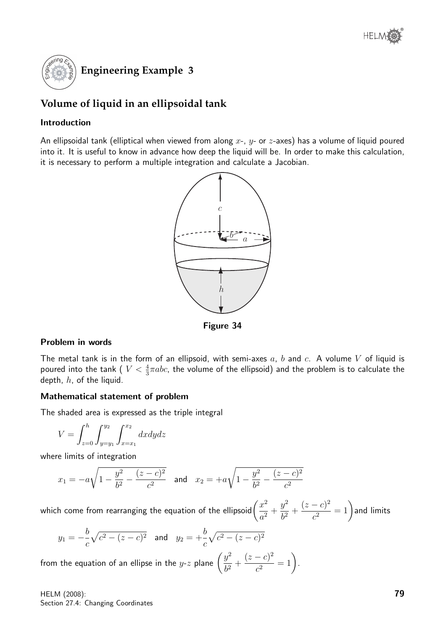

## **Volume of liquid in an ellipsoidal tank**

#### Introduction

An ellipsoidal tank (elliptical when viewed from along  $x$ -,  $y$ - or  $z$ -axes) has a volume of liquid poured into it. It is useful to know in advance how deep the liquid will be. In order to make this calculation, it is necessary to perform a multiple integration and calculate a Jacobian.



Figure 34

#### Problem in words

The metal tank is in the form of an ellipsoid, with semi-axes  $a, b$  and  $c.$  A volume  $V$  of liquid is poured into the tank (  $V<\frac{4}{3}\pi abc$ , the volume of the ellipsoid) and the problem is to calculate the depth,  $h$ , of the liquid.

#### Mathematical statement of problem

The shaded area is expressed as the triple integral

$$
V = \int_{z=0}^{h} \int_{y=y_1}^{y_2} \int_{x=x_1}^{x_2} dx dy dz
$$

where limits of integration

$$
x_1 = -a\sqrt{1 - \frac{y^2}{b^2} - \frac{(z - c)^2}{c^2}}
$$
 and  $x_2 = +a\sqrt{1 - \frac{y^2}{b^2} - \frac{(z - c)^2}{c^2}}$ 

which come from rearranging the equation of the ellipsoid $\left(\frac{x^2}{2}\right)$  $\frac{a}{a^2}$  +  $y^2$  $\frac{9}{b^2}$  +  $(z-c)^2$  $\overline{c^2}^{-c)^2} = 1$  ) and limits

$$
y_1 = -\frac{b}{c}\sqrt{c^2 - (z - c)^2}
$$
 and  $y_2 = +\frac{b}{c}\sqrt{c^2 - (z - c)^2}$ 

from the equation of an ellipse in the y- $z$  plane  $\left(\frac{y^2}{z^2}\right)$  $\frac{9}{b^2}$  +  $(z-c)^2$  $\frac{(c)^2}{c^2} = 1.$ 

HELM (2008): Section 27.4: Changing Coordinates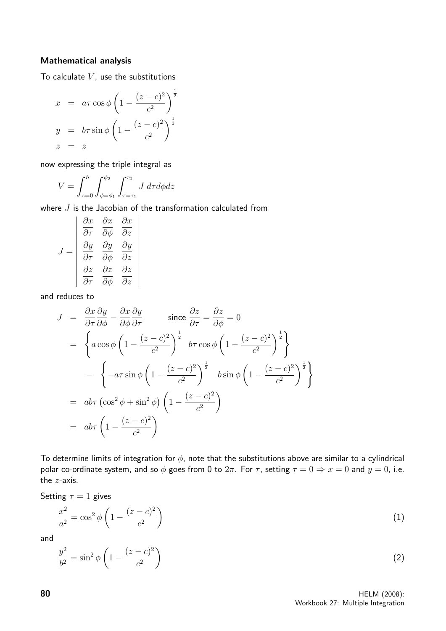#### Mathematical analysis

To calculate  $V$ , use the substitutions

$$
x = a\tau \cos \phi \left( 1 - \frac{(z - c)^2}{c^2} \right)^{\frac{1}{2}}
$$

$$
y = b\tau \sin \phi \left( 1 - \frac{(z - c)^2}{c^2} \right)^{\frac{1}{2}}
$$

$$
z = z
$$

now expressing the triple integral as

$$
V = \int_{z=0}^{h} \int_{\phi=\phi_1}^{\phi_2} \int_{\tau=\tau_1}^{\tau_2} J \, d\tau d\phi dz
$$

where  $J$  is the Jacobian of the transformation calculated from

$$
J = \begin{vmatrix} \frac{\partial x}{\partial \tau} & \frac{\partial x}{\partial \phi} & \frac{\partial x}{\partial z} \\ \frac{\partial y}{\partial \tau} & \frac{\partial y}{\partial \phi} & \frac{\partial y}{\partial z} \\ \frac{\partial z}{\partial \tau} & \frac{\partial z}{\partial \phi} & \frac{\partial z}{\partial z} \end{vmatrix}
$$

and reduces to

$$
J = \frac{\partial x}{\partial \tau} \frac{\partial y}{\partial \phi} - \frac{\partial x}{\partial \phi} \frac{\partial y}{\partial \tau} \qquad \text{since } \frac{\partial z}{\partial \tau} = \frac{\partial z}{\partial \phi} = 0
$$
  
\n
$$
= \begin{cases} a \cos \phi \left( 1 - \frac{(z - c)^2}{c^2} \right)^{\frac{1}{2}} b \tau \cos \phi \left( 1 - \frac{(z - c)^2}{c^2} \right)^{\frac{1}{2}} \right\} \\ - a \tau \sin \phi \left( 1 - \frac{(z - c)^2}{c^2} \right)^{\frac{1}{2}} b \sin \phi \left( 1 - \frac{(z - c)^2}{c^2} \right)^{\frac{1}{2}} \right\} \\ = ab \tau \left( \cos^2 \phi + \sin^2 \phi \right) \left( 1 - \frac{(z - c)^2}{c^2} \right) \\ = ab \tau \left( 1 - \frac{(z - c)^2}{c^2} \right) \end{cases}
$$

To determine limits of integration for  $\phi$ , note that the substitutions above are similar to a cylindrical polar co-ordinate system, and so  $\phi$  goes from 0 to  $2\pi$ . For  $\tau$ , setting  $\tau = 0 \Rightarrow x = 0$  and  $y = 0$ , i.e. the z-axis.

Setting  $\tau = 1$  gives

$$
\frac{x^2}{a^2} = \cos^2 \phi \left( 1 - \frac{(z - c)^2}{c^2} \right)
$$
 (1)

and

$$
\frac{y^2}{b^2} = \sin^2 \phi \left( 1 - \frac{(z - c)^2}{c^2} \right) \tag{2}
$$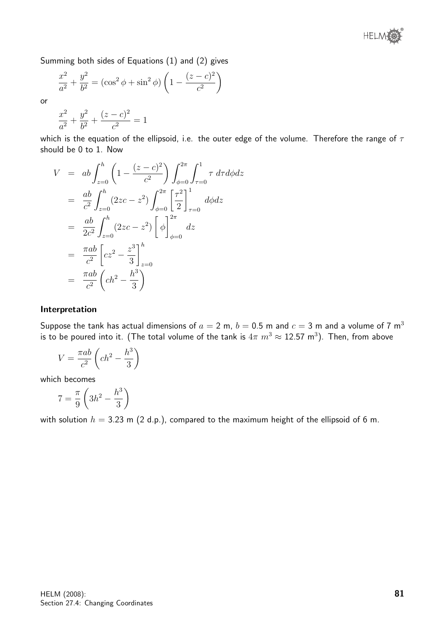

Summing both sides of Equations (1) and (2) gives

$$
\frac{x^2}{a^2} + \frac{y^2}{b^2} = (\cos^2 \phi + \sin^2 \phi) \left( 1 - \frac{(z - c)^2}{c^2} \right)
$$

or

$$
\frac{x^2}{a^2} + \frac{y^2}{b^2} + \frac{(z-c)^2}{c^2} = 1
$$

which is the equation of the ellipsoid, i.e. the outer edge of the volume. Therefore the range of  $\tau$ should be 0 to 1. Now

$$
V = ab \int_{z=0}^{h} \left( 1 - \frac{(z-c)^2}{c^2} \right) \int_{\phi=0}^{2\pi} \int_{\tau=0}^{1} \tau \, d\tau d\phi dz
$$
  
\n
$$
= \frac{ab}{c^2} \int_{z=0}^{h} (2zc - z^2) \int_{\phi=0}^{2\pi} \left[ \frac{\tau^2}{2} \right]_{\tau=0}^{1} d\phi dz
$$
  
\n
$$
= \frac{ab}{2c^2} \int_{z=0}^{h} (2zc - z^2) \left[ \phi \right]_{\phi=0}^{2\pi} dz
$$
  
\n
$$
= \frac{\pi ab}{c^2} \left[ cz^2 - \frac{z^3}{3} \right]_{z=0}^{h}
$$
  
\n
$$
= \frac{\pi ab}{c^2} \left( ch^2 - \frac{h^3}{3} \right)
$$

#### Interpretation

Suppose the tank has actual dimensions of  $a = 2$  m,  $b = 0.5$  m and  $c = 3$  m and a volume of 7 m<sup>3</sup> is to be poured into it. (The total volume of the tank is  $4\pi\; m^3 \approx 12.57\; \mathsf{m}^3).$  Then, from above

$$
V = \frac{\pi ab}{c^2} \left( c h^2 - \frac{h^3}{3} \right)
$$

which becomes

$$
7 = \frac{\pi}{9} \left( 3h^2 - \frac{h^3}{3} \right)
$$

with solution  $h = 3.23$  m (2 d.p.), compared to the maximum height of the ellipsoid of 6 m.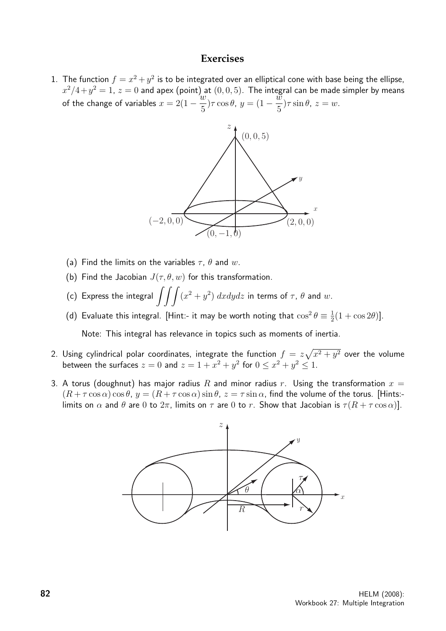#### **Exercises**

1. The function  $f = x^2 + y^2$  is to be integrated over an elliptical cone with base being the ellipse,  $x^2/4+y^2=1$ ,  $z=0$  and apex (point) at  $(0,0,5)$ . The integral can be made simpler by means of the change of variables  $x = 2(1 - \frac{w}{x})$ 5  $(\sigma, \sigma, \sigma)$ <sup>1</sup> + 112 m.  $\sigma$ 5 ) $\tau \sin \theta$ ,  $z = w$ .



- (a) Find the limits on the variables  $\tau$ ,  $\theta$  and w.
- (b) Find the Jacobian  $J(\tau, \theta, w)$  for this transformation.
- (c) Express the integral  $\int\!\int\!\int (x^2 + y^2) \; dx dy dz$  in terms of  $\tau$ ,  $\theta$  and  $w$ .
- (d) Evaluate this integral. [Hint:- it may be worth noting that  $\cos^2\theta \equiv \frac{1}{2}$  $\frac{1}{2}(1 + \cos 2\theta)].$

Note: This integral has relevance in topics such as moments of inertia.

- 2. Using cylindrical polar coordinates, integrate the function  $f = z \sqrt{x^2 + y^2}$  over the volume between the surfaces  $z = 0$  and  $z = 1 + x^2 + y^2$  for  $0 \le x^2 + y^2 \le 1$ .
- 3. A torus (doughnut) has major radius R and minor radius r. Using the transformation  $x =$  $(R + \tau \cos \alpha) \cos \theta$ ,  $y = (R + \tau \cos \alpha) \sin \theta$ ,  $z = \tau \sin \alpha$ , find the volume of the torus. [Hints:limits on  $\alpha$  and  $\theta$  are 0 to  $2\pi$ , limits on  $\tau$  are 0 to r. Show that Jacobian is  $\tau(R + \tau \cos \alpha)$ ].